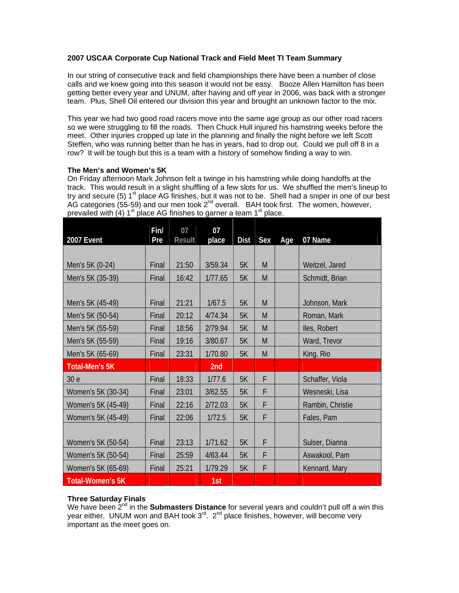### **2007 USCAA Corporate Cup National Track and Field Meet TI Team Summary**

In our string of consecutive track and field championships there have been a number of close calls and we knew going into this season it would not be easy. Booze Allen Hamilton has been getting better every year and UNUM, after having and off year in 2006, was back with a stronger team. Plus, Shell Oil entered our division this year and brought an unknown factor to the mix.

This year we had two good road racers move into the same age group as our other road racers so we were struggling to fill the roads. Then Chuck Hull injured his hamstring weeks before the meet. Other injuries cropped up late in the planning and finally the night before we left Scott Steffen, who was running better than he has in years, had to drop out. Could we pull off 8 in a row? It will be tough but this is a team with a history of somehow finding a way to win.

#### **The Men's and Women's 5K**

On Friday afternoon Mark Johnson felt a twinge in his hamstring while doing handoffs at the track. This would result in a slight shuffling of a few slots for us. We shuffled the men's lineup to try and secure (5)  $1<sup>st</sup>$  place AG finishes, but it was not to be. Shell had a sniper in one of our best AG categories (55-59) and our men took  $2^{nd}$  overall. BAH took first. The women, however, prevailed with  $(4)$  1<sup>st</sup> place AG finishes to garner a team 1<sup>st</sup> place.

| 2007 Event              | Fin/<br>Pre | 07<br><b>Result</b> | 07<br>place | <b>Dist</b> | Sex | Age | 07 Name          |
|-------------------------|-------------|---------------------|-------------|-------------|-----|-----|------------------|
|                         |             |                     |             |             |     |     |                  |
| Men's 5K (0-24)         | Final       | 21:50               | 3/59.34     | 5K          | M   |     | Weitzel, Jared   |
| Men's 5K (35-39)        | Final       | 16:42               | 1/77.65     | 5K          | M   |     | Schmidt, Brian   |
|                         |             |                     |             |             |     |     |                  |
| Men's 5K (45-49)        | Final       | 21:21               | 1/67.5      | 5K          | M   |     | Johnson, Mark    |
| Men's 5K (50-54)        | Final       | 20:12               | 4/74.34     | 5K          | M   |     | Roman, Mark      |
| Men's 5K (55-59)        | Final       | 18:56               | 2/79.94     | 5K          | M   |     | Iles, Robert     |
| Men's 5K (55-59)        | Final       | 19:16               | 3/80.67     | 5K          | M   |     | Ward, Trevor     |
| Men's 5K (65-69)        | Final       | 23:31               | 1/70.80     | 5K          | M   |     | King, Rio        |
| <b>Total-Men's 5K</b>   |             |                     | 2nd         |             |     |     |                  |
| 30 e                    | Final       | 18:33               | 1/77.6      | 5K          | F   |     | Schaffer, Viola  |
| Women's 5K (30-34)      | Final       | 23:01               | 3/62.55     | 5K          | F   |     | Wesneski, Lisa   |
| Women's 5K (45-49)      | Final       | 22:16               | 2/72.03     | 5K          | F   |     | Rambin, Christie |
| Women's 5K (45-49)      | Final       | 22:06               | 1/72.5      | 5K          | F   |     | Fales, Pam       |
|                         |             |                     |             |             |     |     |                  |
| Women's 5K (50-54)      | Final       | 23:13               | 1/71.62     | 5K          | F   |     | Sulser, Dianna   |
| Women's 5K (50-54)      | Final       | 25:59               | 4/63.44     | 5K          | F   |     | Aswakool, Pam    |
| Women's 5K (65-69)      | Final       | 25:21               | 1/79.29     | 5K          | F   |     | Kennard, Mary    |
| <b>Total-Women's 5K</b> |             |                     | 1st         |             |     |     |                  |

# **Three Saturday Finals**

We have been 2<sup>nd</sup> in the **Submasters Distance** for several years and couldn't pull off a win this year either. UNUM won and BAH took  $3^{rd}$ .  $2^{nd}$  place finishes, however, will become very important as the meet goes on.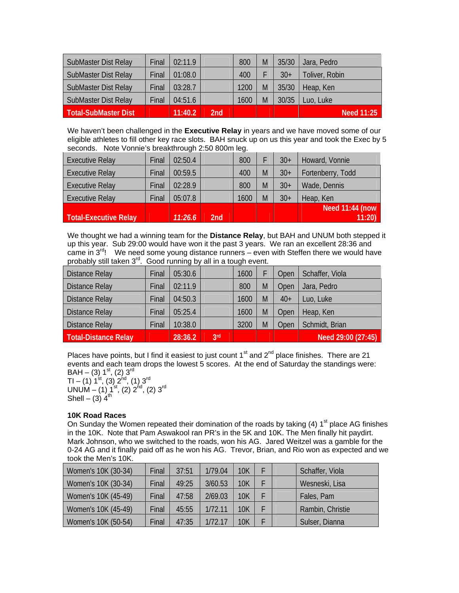| SubMaster Dist Relay        | Final | 02:11.9 |     | 800  | M | 35/30 | Jara, Pedro    |
|-----------------------------|-------|---------|-----|------|---|-------|----------------|
| <b>SubMaster Dist Relay</b> | Final | 01:08.0 |     | 400  |   | $30+$ | Toliver, Robin |
| <b>SubMaster Dist Relay</b> | Final | 03:28.7 |     | 1200 | M | 35/30 | Heap, Ken      |
| SubMaster Dist Relay        | Final | 04:51.6 |     | 1600 | M | 30/35 | Luo, Luke      |
| <b>Total-SubMaster Dist</b> |       | 11:40.2 | 2nd |      |   |       | Need 11:25     |

We haven't been challenged in the **Executive Relay** in years and we have moved some of our eligible athletes to fill other key race slots. BAH snuck up on us this year and took the Exec by 5 seconds. Note Vonnie's breakthrough 2:50 800m leg.

| <b>Executive Relay</b>       | Final | 02:50.4 |     | 800  |   | $30+$ | Howard, Vonnie    |
|------------------------------|-------|---------|-----|------|---|-------|-------------------|
| <b>Executive Relay</b>       | Final | 00:59.5 |     | 400  | M | $30+$ | Fortenberry, Todd |
| <b>Executive Relay</b>       | Final | 02:28.9 |     | 800  | M | $30+$ | Wade, Dennis      |
| <b>Executive Relay</b>       | Final | 05:07.8 |     | 1600 | M | $30+$ | Heap, Ken         |
|                              |       |         |     |      |   |       | Need 11:44 (now   |
| <b>Total-Executive Relay</b> |       | 11:26.6 | 2nd |      |   |       | 11:20             |

We thought we had a winning team for the **Distance Relay**, but BAH and UNUM both stepped it up this year. Sub 29:00 would have won it the past 3 years. We ran an excellent 28:36 and came in  $3^{rd}$ ! We need some young distance runners – even with Steffen there we would have probably still taken 3<sup>rd</sup>. Good running by all in a tough event.

| <b>Distance Relay</b>       | Final | 05:30.6 |                 | 1600 |   | Open  | Schaffer, Viola    |
|-----------------------------|-------|---------|-----------------|------|---|-------|--------------------|
| <b>Distance Relay</b>       | Final | 02:11.9 |                 | 800  | M | Open  | Jara, Pedro        |
| <b>Distance Relay</b>       | Final | 04:50.3 |                 | 1600 | M | $40+$ | Luo, Luke          |
| <b>Distance Relay</b>       | Final | 05:25.4 |                 | 1600 | M | Open  | Heap, Ken          |
| <b>Distance Relay</b>       | Final | 10:38.0 |                 | 3200 | M | Open  | Schmidt, Brian     |
| <b>Total-Distance Relay</b> |       | 28:36.2 | 3 <sup>rd</sup> |      |   |       | Need 29:00 (27:45) |

Places have points, but I find it easiest to just count  $1<sup>st</sup>$  and  $2<sup>nd</sup>$  place finishes. There are 21 events and each team drops the lowest 5 scores. At the end of Saturday the standings were:  $BAH - (3) 1<sup>st</sup>, (2) 3<sup>rd</sup>$ 

TI – (1)  $1^{\rm{st}}$ , (3)  $2^{\rm{hd}}$ , (1)  $3^{\rm{rd}}$ UNUM – (1)  $1^{st}$ , (2)  $2^{nd}$ , (2)  $3^{rd}$ Shell – (3)  $4^{\text{th}}$ 

## **10K Road Races**

On Sunday the Women repeated their domination of the roads by taking (4)  $1<sup>st</sup>$  place AG finishes in the 10K. Note that Pam Aswakool ran PR's in the 5K and 10K. The Men finally hit paydirt. Mark Johnson, who we switched to the roads, won his AG. Jared Weitzel was a gamble for the 0-24 AG and it finally paid off as he won his AG. Trevor, Brian, and Rio won as expected and we took the Men's 10K.

| Women's 10K (30-34) | Final | 37:51 | 1/79.04 | 10K        |  | Schaffer, Viola  |
|---------------------|-------|-------|---------|------------|--|------------------|
| Women's 10K (30-34) | Final | 49:25 | 3/60.53 | <b>10K</b> |  | Wesneski, Lisa   |
| Women's 10K (45-49) | Final | 47:58 | 2/69.03 | <b>10K</b> |  | Fales, Pam       |
| Women's 10K (45-49) | Final | 45:55 | 1/72.11 | 10K        |  | Rambin, Christie |
| Women's 10K (50-54) | Final | 47:35 | 1/72.17 | 10K        |  | Sulser, Dianna   |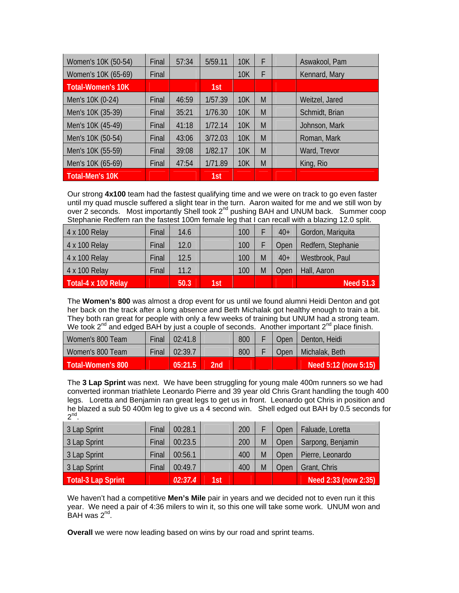| Women's 10K (50-54)      | Final | 57:34 | 5/59.11 | <b>10K</b> | F | Aswakool, Pam  |
|--------------------------|-------|-------|---------|------------|---|----------------|
| Women's 10K (65-69)      | Final |       |         | <b>10K</b> | F | Kennard, Mary  |
| <b>Total-Women's 10K</b> |       |       | 1st     |            |   |                |
| Men's 10K (0-24)         | Final | 46:59 | 1/57.39 | <b>10K</b> | M | Weitzel, Jared |
| Men's 10K (35-39)        | Final | 35:21 | 1/76.30 | 10K        | M | Schmidt, Brian |
| Men's 10K (45-49)        | Final | 41:18 | 1/72.14 | <b>10K</b> | M | Johnson, Mark  |
| Men's 10K (50-54)        | Final | 43:06 | 3/72.03 | <b>10K</b> | M | Roman, Mark    |
| Men's 10K (55-59)        | Final | 39:08 | 1/82.17 | <b>10K</b> | M | Ward, Trevor   |
| Men's 10K (65-69)        | Final | 47:54 | 1/71.89 | 10K        | M | King, Rio      |
| <b>Total-Men's 10K</b>   |       |       | 1st     |            |   |                |

Our strong **4x100** team had the fastest qualifying time and we were on track to go even faster until my quad muscle suffered a slight tear in the turn. Aaron waited for me and we still won by over 2 seconds. Most importantly Shell took  $2^{nd}$  pushing BAH and UNUM back. Summer coop Stephanie Redfern ran the fastest 100m female leg that I can recall with a blazing 12.0 split.

| 4 x 100 Relay       | Final | 14.6 |     | 100 |   | $40+$ | Gordon, Mariquita  |
|---------------------|-------|------|-----|-----|---|-------|--------------------|
| 4 x 100 Relay       | Final | 12.0 |     | 100 |   | Open  | Redfern, Stephanie |
| 4 x 100 Relay       | Final | 12.5 |     | 100 | M | $40+$ | Westbrook, Paul    |
| 4 x 100 Relay       | Final | 11.2 |     | 100 | M | Open  | Hall, Aaron        |
| Total-4 x 100 Relay |       | 50.3 | 1st |     |   |       | <b>Need 51.3</b>   |

The **Women's 800** was almost a drop event for us until we found alumni Heidi Denton and got her back on the track after a long absence and Beth Michalak got healthy enough to train a bit. They both ran great for people with only a few weeks of training but UNUM had a strong team. We took 2<sup>nd</sup> and edged BAH by just a couple of seconds. Another important 2<sup>nd</sup> place finish.

| Women's 800 Team  | Final | 02:41.8 |     | 800 | Open   | Denton, Heidi        |
|-------------------|-------|---------|-----|-----|--------|----------------------|
| Women's 800 Team  | Final | 02:39.7 |     | 800 | Open / | Michalak, Beth       |
| Total-Women's 800 |       | 05:21.5 | 2nd |     |        | Need 5:12 (now 5:15) |

The **3 Lap Sprint** was next. We have been struggling for young male 400m runners so we had converted ironman triathlete Leonardo Pierre and 39 year old Chris Grant handling the tough 400 legs. Loretta and Benjamin ran great legs to get us in front. Leonardo got Chris in position and he blazed a sub 50 400m leg to give us a 4 second win. Shell edged out BAH by 0.5 seconds for  $2^{nd}$ .

| 3 Lap Sprint       | Final | 00:28.1 |     | 200 |   | Open | Faluade, Loretta     |
|--------------------|-------|---------|-----|-----|---|------|----------------------|
| 3 Lap Sprint       | Final | 00:23.5 |     | 200 | M | Open | Sarpong, Benjamin    |
| 3 Lap Sprint       | Final | 00:56.1 |     | 400 | M | Open | Pierre, Leonardo     |
| 3 Lap Sprint       | Final | 00:49.7 |     | 400 | M | Open | Grant, Chris         |
| Total-3 Lap Sprint |       | 02:37.4 | 1st |     |   |      | Need 2:33 (now 2:35) |

We haven't had a competitive **Men's Mile** pair in years and we decided not to even run it this year. We need a pair of 4:36 milers to win it, so this one will take some work. UNUM won and  $B$ AH was  $2<sup>nd</sup>$ .

**Overall** we were now leading based on wins by our road and sprint teams.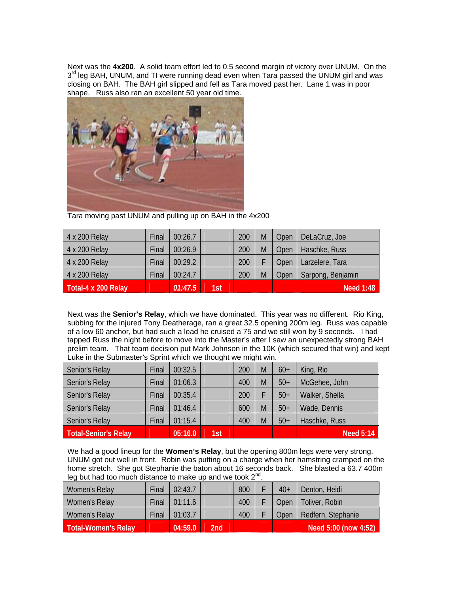Next was the **4x200**. A solid team effort led to 0.5 second margin of victory over UNUM. On the 3<sup>rd</sup> leg BAH, UNUM, and TI were running dead even when Tara passed the UNUM girl and was closing on BAH. The BAH girl slipped and fell as Tara moved past her. Lane 1 was in poor shape. Russ also ran an excellent 50 year old time.



Tara moving past UNUM and pulling up on BAH in the 4x200

| 4 x 200 Relay       | Final | 00:26.7 |     | 200 | M | Open | DeLaCruz, Joe     |
|---------------------|-------|---------|-----|-----|---|------|-------------------|
| 4 x 200 Relay       | Final | 00:26.9 |     | 200 | M | Open | Haschke, Russ     |
| 4 x 200 Relay       | Final | 00:29.2 |     | 200 |   | Open | Larzelere, Tara   |
| 4 x 200 Relay       | Final | 00:24.7 |     | 200 | M | Open | Sarpong, Benjamin |
| Total-4 x 200 Relay |       | 01:47.5 | 1st |     |   |      | <b>Need 1:48</b>  |

Next was the **Senior's Relay**, which we have dominated. This year was no different. Rio King, subbing for the injured Tony Deatherage, ran a great 32.5 opening 200m leg. Russ was capable of a low 60 anchor, but had such a lead he cruised a 75 and we still won by 9 seconds. I had tapped Russ the night before to move into the Master's after I saw an unexpectedly strong BAH prelim team. That team decision put Mark Johnson in the 10K (which secured that win) and kept Luke in the Submaster's Sprint which we thought we might win.

| Senior's Relay       | Final | 00:32.5 |     | 200 | M | $60+$ | King, Rio        |
|----------------------|-------|---------|-----|-----|---|-------|------------------|
| Senior's Relay       | Final | 01:06.3 |     | 400 | M | $50+$ | McGehee, John    |
| Senior's Relay       | Final | 00:35.4 |     | 200 |   | $50+$ | Walker, Sheila   |
| Senior's Relay       | Final | 01:46.4 |     | 600 | M | $50+$ | Wade, Dennis     |
| Senior's Relay       | Final | 01:15.4 |     | 400 | M | $50+$ | Haschke, Russ    |
| Total-Senior's Relay |       | 05:16.0 | 1st |     |   |       | <b>Need 5:14</b> |

We had a good lineup for the **Women's Relay**, but the opening 800m legs were very strong. UNUM got out well in front. Robin was putting on a charge when her hamstring cramped on the home stretch. She got Stephanie the baton about 16 seconds back. She blasted a 63.7 400m leg but had too much distance to make up and we took  $2^{nd}$ .

| Women's Relay       | Final | 02:43.7 |     | 800 | $40+$ | Denton, Heidi        |
|---------------------|-------|---------|-----|-----|-------|----------------------|
| Women's Relay       | Final | 01:11.6 |     | 400 | )pen  | Toliver, Robin       |
| Women's Relay       | Final | 01:03.7 |     | 400 | Open  | Redfern, Stephanie   |
| Total-Women's Relay |       | 04:59.0 | 2nd |     |       | Need 5:00 (now 4:52) |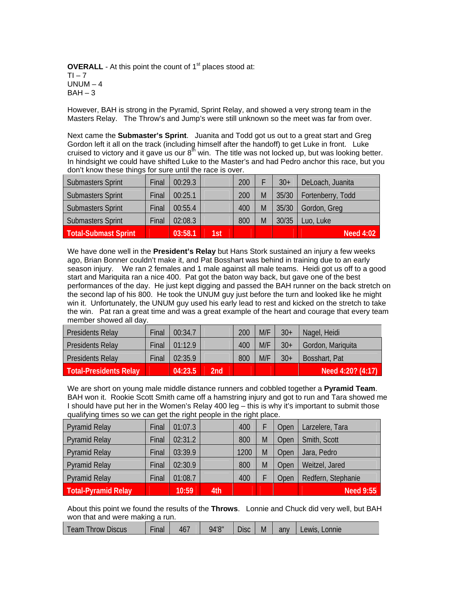**OVERALL** - At this point the count of 1<sup>st</sup> places stood at:  $TI - 7$ UNUM  $-4$  $BAH - 3$ 

However, BAH is strong in the Pyramid, Sprint Relay, and showed a very strong team in the Masters Relay. The Throw's and Jump's were still unknown so the meet was far from over.

Next came the **Submaster's Sprint**. Juanita and Todd got us out to a great start and Greg Gordon left it all on the track (including himself after the handoff) to get Luke in front. Luke cruised to victory and it gave us our  $8<sup>th</sup>$  win. The title was not locked up, but was looking better. In hindsight we could have shifted Luke to the Master's and had Pedro anchor this race, but you don't know these things for sure until the race is over.

| <b>Submasters Sprint</b> | Final | 00:29.3 |     | 200 |   | $30+$ | DeLoach, Juanita  |
|--------------------------|-------|---------|-----|-----|---|-------|-------------------|
| <b>Submasters Sprint</b> | Final | 00:25.1 |     | 200 | M | 35/30 | Fortenberry, Todd |
| <b>Submasters Sprint</b> | Final | 00:55.4 |     | 400 | M | 35/30 | Gordon, Greg      |
| <b>Submasters Sprint</b> | Final | 02:08.3 |     | 800 | M | 30/35 | Luo, Luke         |
| Total-Submast Sprint     |       | 03:58.1 | 1st |     |   |       | <b>Need 4:02</b>  |

We have done well in the **President's Relay** but Hans Stork sustained an injury a few weeks ago, Brian Bonner couldn't make it, and Pat Bosshart was behind in training due to an early season injury. We ran 2 females and 1 male against all male teams. Heidi got us off to a good start and Mariquita ran a nice 400. Pat got the baton way back, but gave one of the best performances of the day. He just kept digging and passed the BAH runner on the back stretch on the second lap of his 800. He took the UNUM guy just before the turn and looked like he might win it. Unfortunately, the UNUM guy used his early lead to rest and kicked on the stretch to take the win. Pat ran a great time and was a great example of the heart and courage that every team member showed all day.

| Presidents Relay        | Final | 00:34.7 |     | 200 | M/F | $30+$ | Nagel, Heidi           |
|-------------------------|-------|---------|-----|-----|-----|-------|------------------------|
| Presidents Relay        | Final | 01:12.9 |     | 400 | M/F | $30+$ | Gordon, Mariquita      |
| <b>Presidents Relay</b> | Final | 02:35.9 |     | 800 | M/F | $30+$ | Bosshart, Pat          |
| Total-Presidents Relay  |       | 04:23.5 | 2nd |     |     |       | Need $4:20$ ? $(4:17)$ |

We are short on young male middle distance runners and cobbled together a **Pyramid Team**. BAH won it. Rookie Scott Smith came off a hamstring injury and got to run and Tara showed me I should have put her in the Women's Relay 400 leg – this is why it's important to submit those qualifying times so we can get the right people in the right place.

| Pyramid Relay              | Final | 01:07.3 |     | 400  |   | Open | Larzelere, Tara    |
|----------------------------|-------|---------|-----|------|---|------|--------------------|
| Pyramid Relay              | Final | 02:31.2 |     | 800  | M | Open | Smith, Scott       |
| Pyramid Relay              | Final | 03:39.9 |     | 1200 | M | Open | Jara, Pedro        |
| Pyramid Relay              | Final | 02:30.9 |     | 800  | M | Open | Weitzel, Jared     |
| Pyramid Relay              | Final | 01:08.7 |     | 400  |   | Open | Redfern, Stephanie |
| <b>Total-Pyramid Relay</b> |       | 10:59   | 4th |      |   |      | <b>Need 9:55</b>   |

About this point we found the results of the **Throws**. Lonnie and Chuck did very well, but BAH won that and were making a run.

| eam<br>$  -$<br>Jiscus<br><b>nrow</b> | $-$ .<br>-inal | 46. | $J/\sqrt{Q''}$ | $\sim$<br>licr<br>טנוע | Μ | anv | .onnie<br>_ewis |
|---------------------------------------|----------------|-----|----------------|------------------------|---|-----|-----------------|
|                                       |                |     |                |                        |   |     |                 |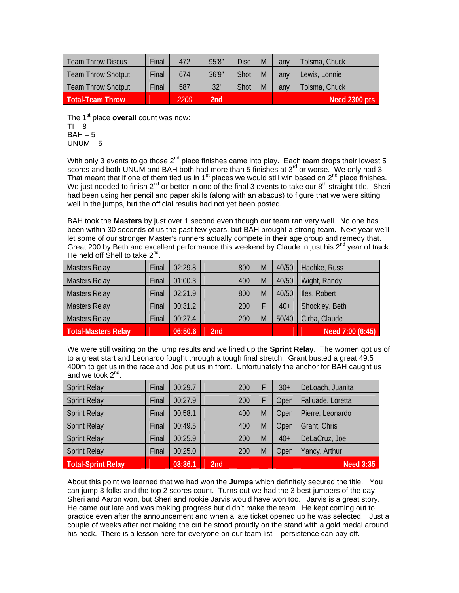| Team Throw Discus         | Final | 472  | 95'8"           | <b>Disc</b> | M | any | Tolsma, Chuck |
|---------------------------|-------|------|-----------------|-------------|---|-----|---------------|
| <b>Team Throw Shotput</b> | Final | 674  | 36'9"           | Shot        | M | any | Lewis, Lonnie |
| <b>Team Throw Shotput</b> | Final | 587  | 32'             | Shot        | M | any | Tolsma, Chuck |
| <b>Total-Team Throw</b>   |       | 2200 | 2 <sub>nd</sub> |             |   |     | Need 2300 pts |

The 1<sup>st</sup> place **overall** count was now:  $T1 - 8$  $BAH - 5$  $UNUM - 5$ 

With only 3 events to go those  $2^{nd}$  place finishes came into play. Each team drops their lowest 5 scores and both UNUM and BAH both had more than 5 finishes at  $3<sup>rd</sup>$  or worse. We only had 3. That meant that if one of them tied us in  $1<sup>st</sup>$  places we would still win based on  $2<sup>nd</sup>$  place finishes. We just needed to finish  $2^{nd}$  or better in one of the final 3 events to take our  $8^{th}$  straight title. Sheri had been using her pencil and paper skills (along with an abacus) to figure that we were sitting well in the jumps, but the official results had not yet been posted.

BAH took the **Masters** by just over 1 second even though our team ran very well. No one has been within 30 seconds of us the past few years, but BAH brought a strong team. Next year we'll let some of our stronger Master's runners actually compete in their age group and remedy that. Great 200 by Beth and excellent performance this weekend by Claude in just his  $2^{nd}$  year of track. He held off Shell to take  $2^{nd}$ .

| <b>Masters Relay</b>       | Final | 02:29.8 |     | 800 | M | 40/50 | Hachke, Russ     |
|----------------------------|-------|---------|-----|-----|---|-------|------------------|
| <b>Masters Relay</b>       | Final | 01:00.3 |     | 400 | M | 40/50 | Wight, Randy     |
| <b>Masters Relay</b>       | Final | 02:21.9 |     | 800 | M | 40/50 | Iles, Robert     |
| <b>Masters Relay</b>       | Final | 00:31.2 |     | 200 |   | $40+$ | Shockley, Beth   |
| <b>Masters Relay</b>       | Final | 00:27.4 |     | 200 | M | 50/40 | Cirba, Claude    |
| <b>Total-Masters Relay</b> |       | 06:50.6 | 2nd |     |   |       | Need 7:00 (6:45) |

We were still waiting on the jump results and we lined up the **Sprint Relay**. The women got us of to a great start and Leonardo fought through a tough final stretch. Grant busted a great 49.5 400m to get us in the race and Joe put us in front. Unfortunately the anchor for BAH caught us and we took  $2^{nd}$ .

| <b>Sprint Relay</b>       | Final | 00:29.7 |     | 200 |   | $30+$ | DeLoach, Juanita  |
|---------------------------|-------|---------|-----|-----|---|-------|-------------------|
| <b>Sprint Relay</b>       | Final | 00:27.9 |     | 200 |   | Open  | Falluade, Loretta |
| <b>Sprint Relay</b>       | Final | 00:58.1 |     | 400 | M | Open  | Pierre, Leonardo  |
| <b>Sprint Relay</b>       | Final | 00:49.5 |     | 400 | M | Open  | Grant, Chris      |
| <b>Sprint Relay</b>       | Final | 00:25.9 |     | 200 | M | $40+$ | DeLaCruz, Joe     |
| <b>Sprint Relay</b>       | Final | 00:25.0 |     | 200 | M | Open  | Yancy, Arthur     |
| <b>Total-Sprint Relay</b> |       | 03:36.1 | 2nd |     |   |       | Need 3:35         |

About this point we learned that we had won the **Jumps** which definitely secured the title. You can jump 3 folks and the top 2 scores count. Turns out we had the 3 best jumpers of the day. Sheri and Aaron won, but Sheri and rookie Jarvis would have won too. Jarvis is a great story. He came out late and was making progress but didn't make the team. He kept coming out to practice even after the announcement and when a late ticket opened up he was selected. Just a couple of weeks after not making the cut he stood proudly on the stand with a gold medal around his neck. There is a lesson here for everyone on our team list – persistence can pay off.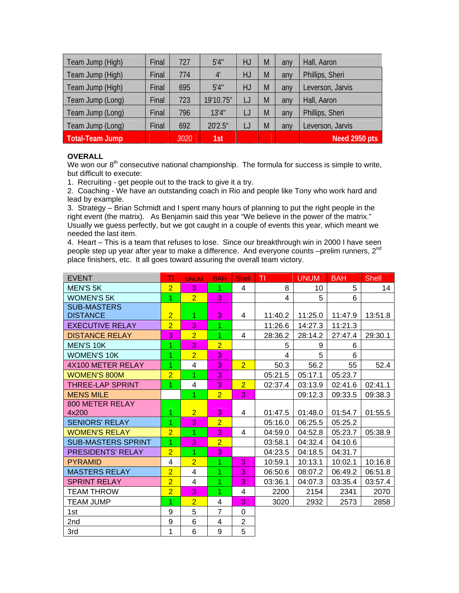| Team Jump (High)       | Final | 727  | 5'4''     | HJ | M | any | Hall, Aaron      |  |
|------------------------|-------|------|-----------|----|---|-----|------------------|--|
| Team Jump (High)       | Final | 774  | 4'        | HJ | M | any | Phillips, Sheri  |  |
| Team Jump (High)       | Final | 695  | 5'4''     | HJ | M | any | Leverson, Jarvis |  |
| Team Jump (Long)       | Final | 723  | 19'10.75" | IJ | M | any | Hall, Aaron      |  |
| Team Jump (Long)       | Final | 796  | 13'4"     |    | M | any | Phillips, Sheri  |  |
| Team Jump (Long)       | Final | 692  | 20'2.5"   |    | M | any | Leverson, Jarvis |  |
| <b>Total-Team Jump</b> |       | 3020 | 1st       |    |   |     | Need 2950 pts    |  |

## **OVERALL**

We won our  $8<sup>th</sup>$  consecutive national championship. The formula for success is simple to write, but difficult to execute:

1. Recruiting - get people out to the track to give it a try.

2. Coaching - We have an outstanding coach in Rio and people like Tony who work hard and lead by example.

3. Strategy – Brian Schmidt and I spent many hours of planning to put the right people in the right event (the matrix). As Benjamin said this year "We believe in the power of the matrix." Usually we guess perfectly, but we got caught in a couple of events this year, which meant we needed the last item.

4. Heart – This is a team that refuses to lose. Since our breakthrough win in 2000 I have seen people step up year after year to make a difference. And everyone counts -prelim runners, 2<sup>nd</sup> place finishers, etc. It all goes toward assuring the overall team victory.

| <b>EVENT</b>              | TI             | <b>UNUM</b>             | <b>BAH</b>     | <b>Shell</b>   | T       | <b>UNUM</b> | <b>BAH</b> | <b>Shell</b> |
|---------------------------|----------------|-------------------------|----------------|----------------|---------|-------------|------------|--------------|
| <b>MEN'S 5K</b>           | $\overline{2}$ | 3                       | 1              | 4              | 8       | 10          | 5          | 14           |
| <b>WOMEN'S 5K</b>         | 1              | $\overline{2}$          | 3              |                | 4       | 5           | 6          |              |
| <b>SUB-MASTERS</b>        |                |                         |                |                |         |             |            |              |
| <b>DISTANCE</b>           | $\overline{2}$ | 1                       | 3              | 4              | 11:40.2 | 11:25.0     | 11:47.9    | 13:51.8      |
| <b>EXECUTIVE RELAY</b>    | $\overline{2}$ | 3                       | 1              |                | 11:26.6 | 14:27.3     | 11:21.3    |              |
| <b>DISTANCE RELAY</b>     | 3              | $\overline{2}$          | 1              | 4              | 28:36.2 | 28:14.2     | 27:47.4    | 29:30.1      |
| <b>MEN'S 10K</b>          | 1              | 3                       | $\overline{2}$ |                | 5       | 9           | 6          |              |
| WOMEN'S 10K               | 1              | $\overline{2}$          | 3              |                | 4       | 5           | 6          |              |
| 4X100 METER RELAY         | 1              | $\overline{\mathbf{4}}$ | 3              | 2 <sup>1</sup> | 50.3    | 56.2        | 55         | 52.4         |
| <b>WOMEN'S 800M</b>       | $\overline{2}$ | 1                       | 3              |                | 05:21.5 | 05:17.1     | 05:23.7    |              |
| <b>THREE-LAP SPRINT</b>   | $\overline{1}$ | 4                       | 3              | $\overline{2}$ | 02:37.4 | 03:13.9     | 02:41.6    | 02:41.1      |
| <b>MENS MILE</b>          |                | 1                       | $\overline{2}$ | 3              |         | 09:12.3     | 09:33.5    | 09:38.3      |
| 800 METER RELAY           |                |                         |                |                |         |             |            |              |
| 4x200                     | $\overline{1}$ | $\overline{2}$          | 3              | 4              | 01:47.5 | 01:48.0     | 01:54.7    | 01:55.5      |
| <b>SENIORS' RELAY</b>     | 1              | 3                       | $\overline{2}$ |                | 05:16.0 | 06:25.5     | 05:25.2    |              |
| <b>WOMEN'S RELAY</b>      | $\overline{2}$ | 1                       | 3              | 4              | 04:59.0 | 04:52.8     | 05:23.7    | 05:38.9      |
| <b>SUB-MASTERS SPRINT</b> | 1              | 3                       | $\overline{2}$ |                | 03:58.1 | 04:32.4     | 04:10.6    |              |
| <b>PRESIDENTS' RELAY</b>  | $\overline{2}$ | 1                       | 3              |                | 04:23.5 | 04:18.5     | 04:31.7    |              |
| <b>PYRAMID</b>            | 4              | $\overline{2}$          | 1              | 3              | 10:59.1 | 10:13.1     | 10:02.1    | 10:16.8      |
| <b>MASTERS RELAY</b>      | $\overline{2}$ | $\overline{4}$          | 1              | 3              | 06:50.6 | 08:07.2     | 06:49.2    | 06:51.8      |
| <b>SPRINT RELAY</b>       | $\overline{2}$ | 4                       | 1              | 3              | 03:36.1 | 04:07.3     | 03:35.4    | 03:57.4      |
| <b>TEAM THROW</b>         | $\overline{2}$ | 3                       | 1              | 4              | 2200    | 2154        | 2341       | 2070         |
| <b>TEAM JUMP</b>          | 1              | $\overline{2}$          | 4              | 3              | 3020    | 2932        | 2573       | 2858         |
| 1st                       | 9              | 5                       | $\overline{7}$ | $\Omega$       |         |             |            |              |
| 2nd                       | 9              | 6                       | 4              | $\overline{2}$ |         |             |            |              |
| 3rd                       | 1              | 6                       | 9              | 5              |         |             |            |              |